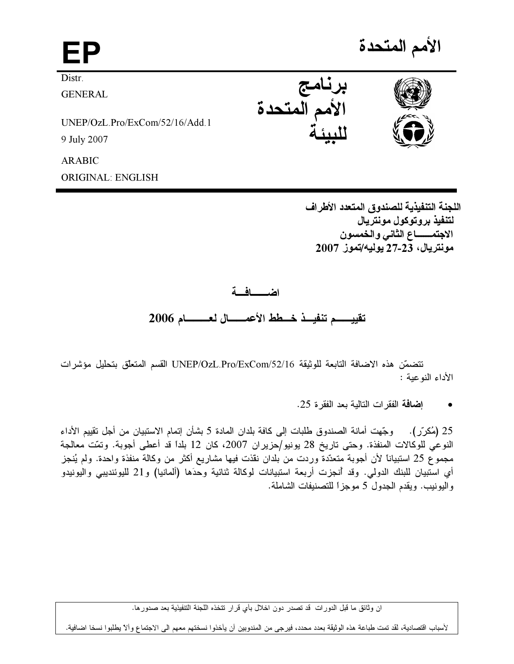الأمم المتحدة

**Distr** 

FP

**GENERAL** 

UNEP/OzL.Pro/ExCom/52/16/Add.1 9 July 2007

**ARABIC** 

**ORIGINAL: ENGLISH** 

اللجنة التنفيذية للصندوق المتعدد الأطراف لتنفيذ بروتوكول مونتريال الاجتمـــــــاع الثاني والخمسون مونتريال، 23-27 يوليه/تموز 2007

اضطلفة

برنامج<br>الأمم المتحدة

تقييسه تنفيــذ خــطط الأعمــــــال لعــــــــام 2006

تتضمّن هذه الاضافة التابعة للوثيقة UNEP/OzL.Pro/ExCom/52/16 القسم المتعلّق بتحليل مؤشرات الأداء النوعبة :

إضافة الفقر ات التالية بعد الفقر ة 25.

25 (مُكرِّر). وجِّهت أمانة الصندوق طلبات إلى كافة بلدان المادة 5 بشأن إتمام الاستبيان من أجل تقييم الأداء النوعي للوكالات المنفذة. وحتى تاريخ 28 يونيو/حزيران 2007، كان 12 بلداً قد أعطى أجوبة. وتمّت معالجة مجموع 25 استبيانا لأن أجوبة متعدّدة وردت من بلدان نقذت فيها مشاريع أكثر من وكالة منفذة واحدة. ولم يُنجز أي استبيان للبنك الدولي. وقد أنجزت أربعة استبيانات لوكالة ثنائية وحدَها (ألمانيا) و21 لليوئنديبي واليونيدو واليونيب. ويقدم الجدول 5 موجزاً للتصنيفات الشاملة.

ان وثائق ما قبل الدورات قد تصدر دون اخلال بأي قرار تتخذه اللجنة التنفيذية بعد صدورها.

لأسباب اقتصادية، لقد تمت طباعة هذه الوثيقة بعدد محدد، فيرجى من المندوبين أن يأخذوا نسختهم معهم الى الاجتماع وألآ يطلبوا نسخا اضافية.